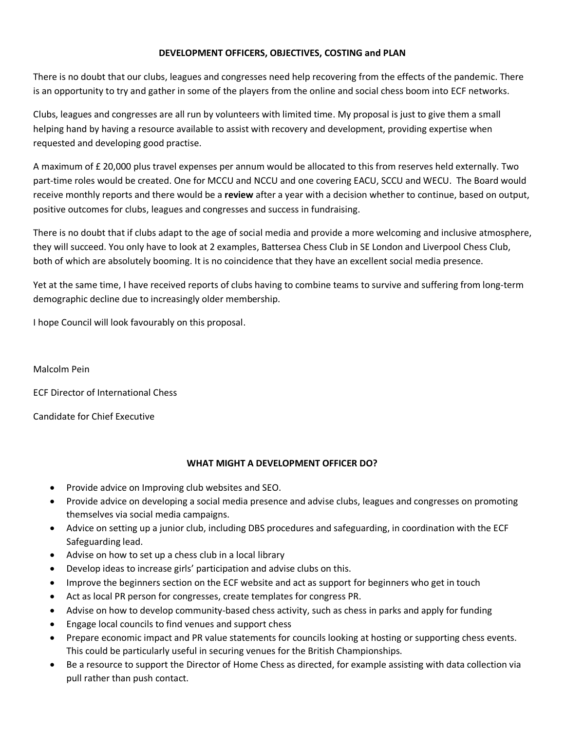## **DEVELOPMENT OFFICERS, OBJECTIVES, COSTING and PLAN**

There is no doubt that our clubs, leagues and congresses need help recovering from the effects of the pandemic. There is an opportunity to try and gather in some of the players from the online and social chess boom into ECF networks.

Clubs, leagues and congresses are all run by volunteers with limited time. My proposal is just to give them a small helping hand by having a resource available to assist with recovery and development, providing expertise when requested and developing good practise.

A maximum of £ 20,000 plus travel expenses per annum would be allocated to this from reserves held externally. Two part-time roles would be created. One for MCCU and NCCU and one covering EACU, SCCU and WECU. The Board would receive monthly reports and there would be a **review** after a year with a decision whether to continue, based on output, positive outcomes for clubs, leagues and congresses and success in fundraising.

There is no doubt that if clubs adapt to the age of social media and provide a more welcoming and inclusive atmosphere, they will succeed. You only have to look at 2 examples, Battersea Chess Club in SE London and Liverpool Chess Club, both of which are absolutely booming. It is no coincidence that they have an excellent social media presence.

Yet at the same time, I have received reports of clubs having to combine teams to survive and suffering from long-term demographic decline due to increasingly older membership.

I hope Council will look favourably on this proposal.

Malcolm Pein

ECF Director of International Chess

Candidate for Chief Executive

## **WHAT MIGHT A DEVELOPMENT OFFICER DO?**

- Provide advice on Improving club websites and SEO.
- Provide advice on developing a social media presence and advise clubs, leagues and congresses on promoting themselves via social media campaigns.
- Advice on setting up a junior club, including DBS procedures and safeguarding, in coordination with the ECF Safeguarding lead.
- Advise on how to set up a chess club in a local library
- Develop ideas to increase girls' participation and advise clubs on this.
- Improve the beginners section on the ECF website and act as support for beginners who get in touch
- Act as local PR person for congresses, create templates for congress PR.
- Advise on how to develop community-based chess activity, such as chess in parks and apply for funding
- Engage local councils to find venues and support chess
- Prepare economic impact and PR value statements for councils looking at hosting or supporting chess events. This could be particularly useful in securing venues for the British Championships.
- Be a resource to support the Director of Home Chess as directed, for example assisting with data collection via pull rather than push contact.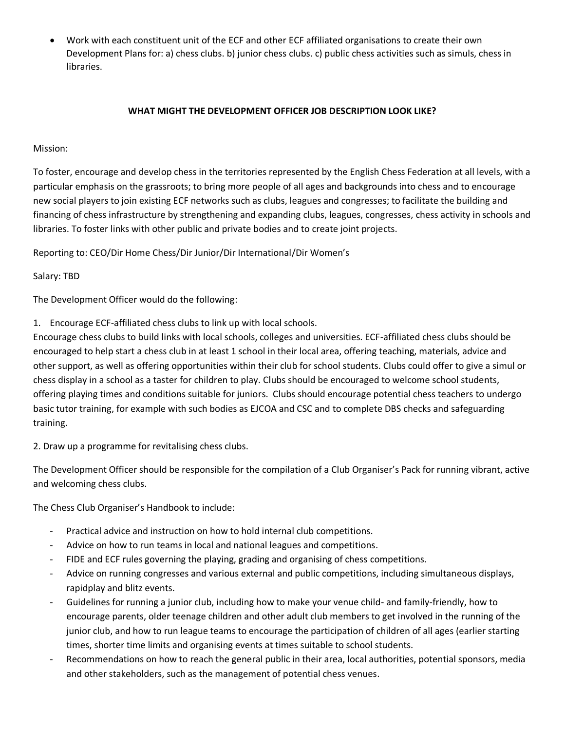• Work with each constituent unit of the ECF and other ECF affiliated organisations to create their own Development Plans for: a) chess clubs. b) junior chess clubs. c) public chess activities such as simuls, chess in libraries.

## **WHAT MIGHT THE DEVELOPMENT OFFICER JOB DESCRIPTION LOOK LIKE?**

## Mission:

To foster, encourage and develop chess in the territories represented by the English Chess Federation at all levels, with a particular emphasis on the grassroots; to bring more people of all ages and backgrounds into chess and to encourage new social players to join existing ECF networks such as clubs, leagues and congresses; to facilitate the building and financing of chess infrastructure by strengthening and expanding clubs, leagues, congresses, chess activity in schools and libraries. To foster links with other public and private bodies and to create joint projects.

Reporting to: CEO/Dir Home Chess/Dir Junior/Dir International/Dir Women's

Salary: TBD

The Development Officer would do the following:

1. Encourage ECF-affiliated chess clubs to link up with local schools.

Encourage chess clubs to build links with local schools, colleges and universities. ECF-affiliated chess clubs should be encouraged to help start a chess club in at least 1 school in their local area, offering teaching, materials, advice and other support, as well as offering opportunities within their club for school students. Clubs could offer to give a simul or chess display in a school as a taster for children to play. Clubs should be encouraged to welcome school students, offering playing times and conditions suitable for juniors. Clubs should encourage potential chess teachers to undergo basic tutor training, for example with such bodies as EJCOA and CSC and to complete DBS checks and safeguarding training.

2. Draw up a programme for revitalising chess clubs.

The Development Officer should be responsible for the compilation of a Club Organiser's Pack for running vibrant, active and welcoming chess clubs.

The Chess Club Organiser's Handbook to include:

- Practical advice and instruction on how to hold internal club competitions.
- Advice on how to run teams in local and national leagues and competitions.
- FIDE and ECF rules governing the playing, grading and organising of chess competitions.
- Advice on running congresses and various external and public competitions, including simultaneous displays, rapidplay and blitz events.
- Guidelines for running a junior club, including how to make your venue child- and family-friendly, how to encourage parents, older teenage children and other adult club members to get involved in the running of the junior club, and how to run league teams to encourage the participation of children of all ages (earlier starting times, shorter time limits and organising events at times suitable to school students.
- Recommendations on how to reach the general public in their area, local authorities, potential sponsors, media and other stakeholders, such as the management of potential chess venues.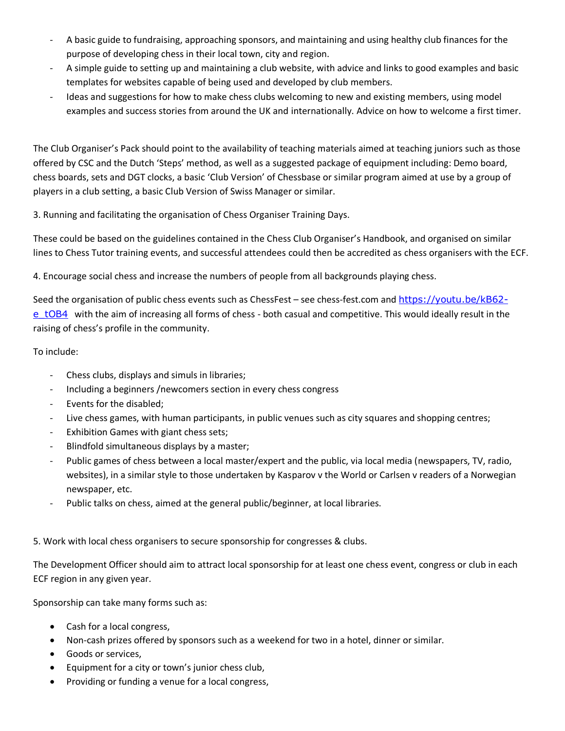- A basic guide to fundraising, approaching sponsors, and maintaining and using healthy club finances for the purpose of developing chess in their local town, city and region.
- A simple guide to setting up and maintaining a club website, with advice and links to good examples and basic templates for websites capable of being used and developed by club members.
- Ideas and suggestions for how to make chess clubs welcoming to new and existing members, using model examples and success stories from around the UK and internationally. Advice on how to welcome a first timer.

The Club Organiser's Pack should point to the availability of teaching materials aimed at teaching juniors such as those offered by CSC and the Dutch 'Steps' method, as well as a suggested package of equipment including: Demo board, chess boards, sets and DGT clocks, a basic 'Club Version' of Chessbase or similar program aimed at use by a group of players in a club setting, a basic Club Version of Swiss Manager or similar.

3. Running and facilitating the organisation of Chess Organiser Training Days.

These could be based on the guidelines contained in the Chess Club Organiser's Handbook, and organised on similar lines to Chess Tutor training events, and successful attendees could then be accredited as chess organisers with the ECF.

4. Encourage social chess and increase the numbers of people from all backgrounds playing chess.

Seed the organisation of public chess events such as ChessFest – see chess-fest.com and [https://youtu.be/kB62](https://youtu.be/kB62-e_tOB4) [e\\_tOB4](https://youtu.be/kB62-e_tOB4) with the aim of increasing all forms of chess - both casual and competitive. This would ideally result in the raising of chess's profile in the community.

To include:

- Chess clubs, displays and simuls in libraries;
- Including a beginners /newcomers section in every chess congress
- Events for the disabled;
- Live chess games, with human participants, in public venues such as city squares and shopping centres;
- Exhibition Games with giant chess sets;
- Blindfold simultaneous displays by a master;
- Public games of chess between a local master/expert and the public, via local media (newspapers, TV, radio, websites), in a similar style to those undertaken by Kasparov v the World or Carlsen v readers of a Norwegian newspaper, etc.
- Public talks on chess, aimed at the general public/beginner, at local libraries.

5. Work with local chess organisers to secure sponsorship for congresses & clubs.

The Development Officer should aim to attract local sponsorship for at least one chess event, congress or club in each ECF region in any given year.

Sponsorship can take many forms such as:

- Cash for a local congress,
- Non-cash prizes offered by sponsors such as a weekend for two in a hotel, dinner or similar.
- Goods or services,
- Equipment for a city or town's junior chess club,
- Providing or funding a venue for a local congress,